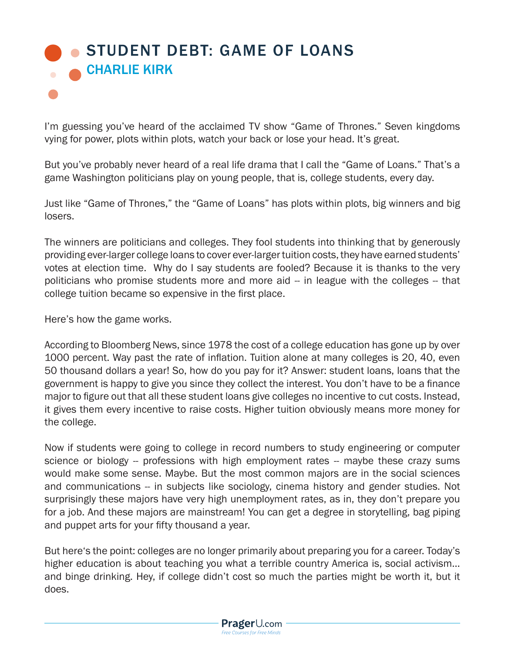## [STUDENT DEBT: GAME OF LOANS](https://www.prageru.com/courses/economics/game-loans) CHARLIE KIRK

I'm guessing you've heard of the acclaimed TV show "Game of Thrones." Seven kingdoms vying for power, plots within plots, watch your back or lose your head. It's great.

But you've probably never heard of a real life drama that I call the "Game of Loans." That's a game Washington politicians play on young people, that is, college students, every day.

Just like "Game of Thrones," the "Game of Loans" has plots within plots, big winners and big losers.

The winners are politicians and colleges. They fool students into thinking that by generously providing ever-larger college loans to cover ever-larger tuition costs, they have earned students' votes at election time. Why do I say students are fooled? Because it is thanks to the very politicians who promise students more and more aid -- in league with the colleges -- that college tuition became so expensive in the first place.

Here's how the game works.

According to Bloomberg News, since 1978 the cost of a college education has gone up by over 1000 percent. Way past the rate of inflation. Tuition alone at many colleges is 20, 40, even 50 thousand dollars a year! So, how do you pay for it? Answer: student loans, loans that the government is happy to give you since they collect the interest. You don't have to be a finance major to figure out that all these student loans give colleges no incentive to cut costs. Instead, it gives them every incentive to raise costs. Higher tuition obviously means more money for the college.

Now if students were going to college in record numbers to study engineering or computer science or biology -- professions with high employment rates -- maybe these crazy sums would make some sense. Maybe. But the most common majors are in the social sciences and communications -- in subjects like sociology, cinema history and gender studies. Not surprisingly these majors have very high unemployment rates, as in, they don't prepare you for a job. And these majors are mainstream! You can get a degree in storytelling, bag piping and puppet arts for your fifty thousand a year.

But here's the point: colleges are no longer primarily about preparing you for a career. Today's higher education is about teaching you what a terrible country America is, social activism… and binge drinking. Hey, if college didn't cost so much the parties might be worth it, but it does.